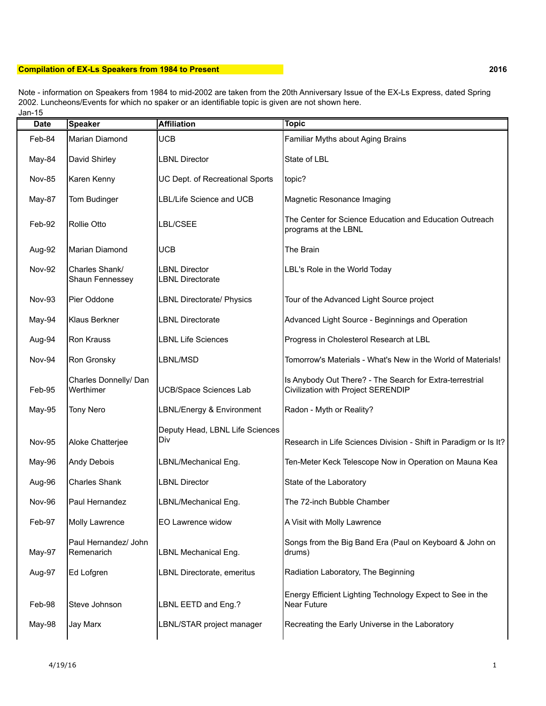## **Compilation of EX-Ls Speakers from 1984 to Present 2016**

Jan-15 Note - information on Speakers from 1984 to mid-2002 are taken from the 20th Anniversary Issue of the EX-Ls Express, dated Spring 2002. Luncheons/Events for which no spaker or an identifiable topic is given are not shown here.

| <b>Date</b>   | <b>Speaker</b>                     | <b>Affiliation</b>                              | <b>Topic</b>                                                                                   |
|---------------|------------------------------------|-------------------------------------------------|------------------------------------------------------------------------------------------------|
| Feb-84        | <b>Marian Diamond</b>              | <b>UCB</b>                                      | Familiar Myths about Aging Brains                                                              |
| May-84        | David Shirley                      | <b>LBNL Director</b>                            | State of LBL                                                                                   |
| <b>Nov-85</b> | Karen Kenny                        | UC Dept. of Recreational Sports                 | topic?                                                                                         |
| May-87        | Tom Budinger                       | LBL/Life Science and UCB                        | Magnetic Resonance Imaging                                                                     |
| Feb-92        | <b>Rollie Otto</b>                 | LBL/CSEE                                        | The Center for Science Education and Education Outreach<br>programs at the LBNL                |
| Aug-92        | Marian Diamond                     | <b>UCB</b>                                      | The Brain                                                                                      |
| <b>Nov-92</b> | Charles Shank/<br>Shaun Fennessey  | <b>LBNL Director</b><br><b>LBNL Directorate</b> | LBL's Role in the World Today                                                                  |
| <b>Nov-93</b> | Pier Oddone                        | <b>LBNL Directorate/ Physics</b>                | Tour of the Advanced Light Source project                                                      |
| May-94        | Klaus Berkner                      | <b>LBNL Directorate</b>                         | Advanced Light Source - Beginnings and Operation                                               |
| Aug-94        | Ron Krauss                         | <b>LBNL Life Sciences</b>                       | Progress in Cholesterol Research at LBL                                                        |
| Nov-94        | Ron Gronsky                        | LBNL/MSD                                        | Tomorrow's Materials - What's New in the World of Materials!                                   |
| Feb-95        | Charles Donnelly/ Dan<br>Werthimer | <b>UCB/Space Sciences Lab</b>                   | Is Anybody Out There? - The Search for Extra-terrestrial<br>Civilization with Project SERENDIP |
| May-95        | <b>Tony Nero</b>                   | LBNL/Energy & Environment                       | Radon - Myth or Reality?                                                                       |
| <b>Nov-95</b> | Aloke Chatterjee                   | Deputy Head, LBNL Life Sciences<br>Div          | Research in Life Sciences Division - Shift in Paradigm or Is It?                               |
| May-96        | Andy Debois                        | LBNL/Mechanical Eng.                            | Ten-Meter Keck Telescope Now in Operation on Mauna Kea                                         |
| Aug-96        | <b>Charles Shank</b>               | <b>LBNL Director</b>                            | State of the Laboratory                                                                        |
| Nov-96        | Paul Hernandez                     | LBNL/Mechanical Eng.                            | The 72-inch Bubble Chamber                                                                     |
| Feb-97        | Molly Lawrence                     | EO Lawrence widow                               | A Visit with Molly Lawrence                                                                    |
| May-97        | Paul Hernandez/ John<br>Remenarich | LBNL Mechanical Eng.                            | Songs from the Big Band Era (Paul on Keyboard & John on<br>drums)                              |
| Aug-97        | Ed Lofgren                         | LBNL Directorate, emeritus                      | Radiation Laboratory, The Beginning                                                            |
| Feb-98        | Steve Johnson                      | LBNL EETD and Eng.?                             | Energy Efficient Lighting Technology Expect to See in the<br><b>Near Future</b>                |
| May-98        | Jay Marx                           | LBNL/STAR project manager                       | Recreating the Early Universe in the Laboratory                                                |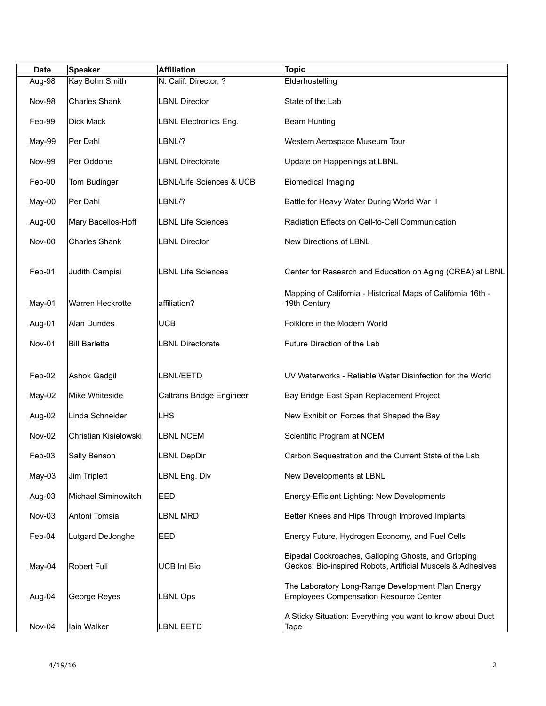| <b>Date</b>   | <b>Speaker</b>        | <b>Affiliation</b>        | <b>Topic</b>                                                                                                       |
|---------------|-----------------------|---------------------------|--------------------------------------------------------------------------------------------------------------------|
| Aug-98        | Kay Bohn Smith        | N. Calif. Director, ?     | Elderhostelling                                                                                                    |
| Nov-98        | <b>Charles Shank</b>  | <b>LBNL Director</b>      | State of the Lab                                                                                                   |
| Feb-99        | Dick Mack             | LBNL Electronics Eng.     | <b>Beam Hunting</b>                                                                                                |
| May-99        | Per Dahl              | LBNL/?                    | Western Aerospace Museum Tour                                                                                      |
| <b>Nov-99</b> | Per Oddone            | <b>LBNL Directorate</b>   | Update on Happenings at LBNL                                                                                       |
| Feb-00        | Tom Budinger          | LBNL/Life Sciences & UCB  | <b>Biomedical Imaging</b>                                                                                          |
| May-00        | Per Dahl              | LBNL/?                    | Battle for Heavy Water During World War II                                                                         |
| Aug-00        | Mary Bacellos-Hoff    | <b>LBNL Life Sciences</b> | Radiation Effects on Cell-to-Cell Communication                                                                    |
| <b>Nov-00</b> | <b>Charles Shank</b>  | <b>LBNL Director</b>      | New Directions of LBNL                                                                                             |
| Feb-01        | Judith Campisi        | <b>LBNL Life Sciences</b> | Center for Research and Education on Aging (CREA) at LBNL                                                          |
| May-01        | Warren Heckrotte      | affiliation?              | Mapping of California - Historical Maps of California 16th -<br>19th Century                                       |
| Aug-01        | Alan Dundes           | <b>UCB</b>                | Folklore in the Modern World                                                                                       |
| Nov-01        | <b>Bill Barletta</b>  | <b>LBNL Directorate</b>   | Future Direction of the Lab                                                                                        |
|               |                       |                           |                                                                                                                    |
| Feb-02        | <b>Ashok Gadgil</b>   | LBNL/EETD                 | UV Waterworks - Reliable Water Disinfection for the World                                                          |
| May-02        | Mike Whiteside        | Caltrans Bridge Engineer  | Bay Bridge East Span Replacement Project                                                                           |
| Aug-02        | Linda Schneider       | <b>LHS</b>                | New Exhibit on Forces that Shaped the Bay                                                                          |
| Nov-02        | Christian Kisielowski | <b>LBNL NCEM</b>          | Scientific Program at NCEM                                                                                         |
| Feb-03        | Sally Benson          | <b>LBNL DepDir</b>        | Carbon Sequestration and the Current State of the Lab                                                              |
| $May-03$      | Jim Triplett          | LBNL Eng. Div             | New Developments at LBNL                                                                                           |
| Aug-03        | Michael Siminowitch   | <b>EED</b>                | Energy-Efficient Lighting: New Developments                                                                        |
| Nov-03        | Antoni Tomsia         | <b>LBNL MRD</b>           | Better Knees and Hips Through Improved Implants                                                                    |
| Feb-04        | Lutgard DeJonghe      | EED                       | Energy Future, Hydrogen Economy, and Fuel Cells                                                                    |
| May-04        | Robert Full           | <b>UCB Int Bio</b>        | Bipedal Cockroaches, Galloping Ghosts, and Gripping<br>Geckos: Bio-inspired Robots, Artificial Muscels & Adhesives |
| Aug-04        | George Reyes          | <b>LBNL Ops</b>           | The Laboratory Long-Range Development Plan Energy<br><b>Employees Compensation Resource Center</b>                 |
| Nov-04        | lain Walker           | <b>LBNL EETD</b>          | A Sticky Situation: Everything you want to know about Duct<br>Tape                                                 |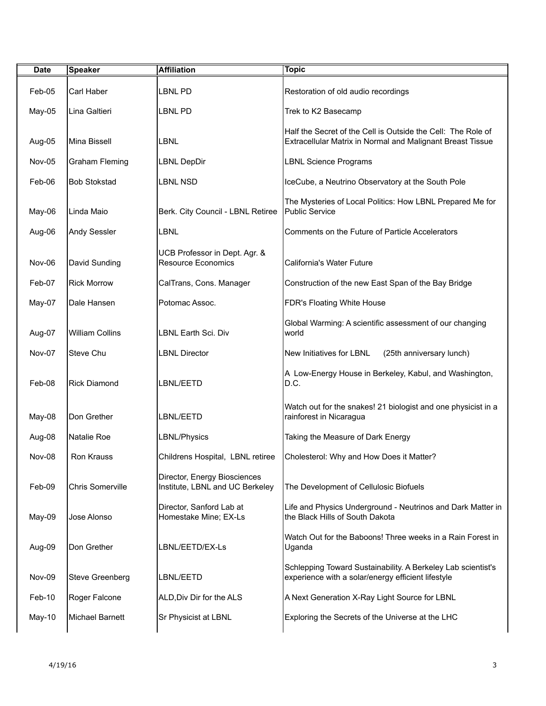| <b>Date</b>   | <b>Speaker</b>          | <b>Affiliation</b>                                              | <b>Topic</b>                                                                                                               |
|---------------|-------------------------|-----------------------------------------------------------------|----------------------------------------------------------------------------------------------------------------------------|
| Feb-05        | Carl Haber              | <b>LBNL PD</b>                                                  | Restoration of old audio recordings                                                                                        |
| May-05        | Lina Galtieri           | LBNL PD                                                         | Trek to K2 Basecamp                                                                                                        |
| Aug-05        | Mina Bissell            | <b>LBNL</b>                                                     | Half the Secret of the Cell is Outside the Cell: The Role of<br>Extracellular Matrix in Normal and Malignant Breast Tissue |
| Nov-05        | <b>Graham Fleming</b>   | <b>LBNL DepDir</b>                                              | <b>LBNL Science Programs</b>                                                                                               |
| Feb-06        | <b>Bob Stokstad</b>     | <b>LBNL NSD</b>                                                 | IceCube, a Neutrino Observatory at the South Pole                                                                          |
| May-06        | Linda Maio              | Berk. City Council - LBNL Retiree                               | The Mysteries of Local Politics: How LBNL Prepared Me for<br>Public Service                                                |
| Aug-06        | Andy Sessler            | <b>LBNL</b>                                                     | Comments on the Future of Particle Accelerators                                                                            |
| Nov-06        | David Sunding           | UCB Professor in Dept. Agr. &<br><b>Resource Economics</b>      | California's Water Future                                                                                                  |
| Feb-07        | <b>Rick Morrow</b>      | CalTrans, Cons. Manager                                         | Construction of the new East Span of the Bay Bridge                                                                        |
| May-07        | Dale Hansen             | Potomac Assoc.                                                  | FDR's Floating White House                                                                                                 |
| Aug-07        | <b>William Collins</b>  | LBNL Earth Sci. Div                                             | Global Warming: A scientific assessment of our changing<br>world                                                           |
| Nov-07        | Steve Chu               | <b>LBNL Director</b>                                            | New Initiatives for LBNL<br>(25th anniversary lunch)                                                                       |
| Feb-08        | <b>Rick Diamond</b>     | LBNL/EETD                                                       | A Low-Energy House in Berkeley, Kabul, and Washington,<br>D.C.                                                             |
| May-08        | Don Grether             | LBNL/EETD                                                       | Watch out for the snakes! 21 biologist and one physicist in a<br>rainforest in Nicaragua                                   |
| Aug-08        | Natalie Roe             | LBNL/Physics                                                    | Taking the Measure of Dark Energy                                                                                          |
| <b>Nov-08</b> | Ron Krauss              | Childrens Hospital, LBNL retiree                                | Cholesterol: Why and How Does it Matter?                                                                                   |
| Feb-09        | <b>Chris Somerville</b> | Director, Energy Biosciences<br>Institute, LBNL and UC Berkeley | The Development of Cellulosic Biofuels                                                                                     |
| May-09        | Jose Alonso             | Director, Sanford Lab at<br>Homestake Mine; EX-Ls               | Life and Physics Underground - Neutrinos and Dark Matter in<br>the Black Hills of South Dakota                             |
| Aug-09        | Don Grether             | LBNL/EETD/EX-Ls                                                 | Watch Out for the Baboons! Three weeks in a Rain Forest in<br>Uganda                                                       |
| Nov-09        | <b>Steve Greenberg</b>  | LBNL/EETD                                                       | Schlepping Toward Sustainability. A Berkeley Lab scientist's<br>experience with a solar/energy efficient lifestyle         |
| Feb-10        | Roger Falcone           | ALD, Div Dir for the ALS                                        | A Next Generation X-Ray Light Source for LBNL                                                                              |
| May-10        | Michael Barnett         | Sr Physicist at LBNL                                            | Exploring the Secrets of the Universe at the LHC                                                                           |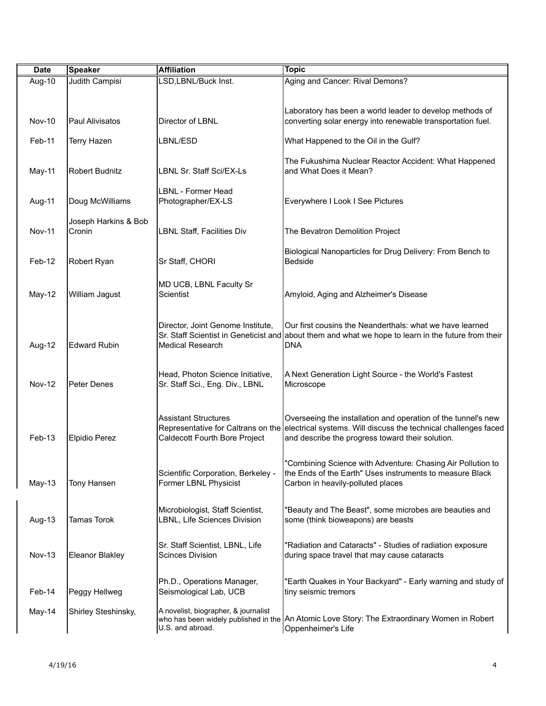| <b>Date</b>   | Speaker                        | <b>Affiliation</b>                                                  | <b>Topic</b>                                                                                                                                                                                                             |
|---------------|--------------------------------|---------------------------------------------------------------------|--------------------------------------------------------------------------------------------------------------------------------------------------------------------------------------------------------------------------|
| Aug-10        | <b>Judith Campisi</b>          | LSD, LBNL/Buck Inst.                                                | Aging and Cancer: Rival Demons?                                                                                                                                                                                          |
|               |                                |                                                                     | Laboratory has been a world leader to develop methods of                                                                                                                                                                 |
| <b>Nov-10</b> | Paul Alivisatos                | Director of LBNL                                                    | converting solar energy into renewable transportation fuel.                                                                                                                                                              |
| Feb-11        | <b>Terry Hazen</b>             | LBNL/ESD                                                            | What Happened to the Oil in the Gulf?                                                                                                                                                                                    |
| May-11        | <b>Robert Budnitz</b>          | LBNL Sr. Staff Sci/EX-Ls                                            | The Fukushima Nuclear Reactor Accident: What Happened<br>and What Does it Mean?                                                                                                                                          |
| Aug-11        | Doug McWilliams                | <b>LBNL - Former Head</b><br>Photographer/EX-LS                     | Everywhere I Look I See Pictures                                                                                                                                                                                         |
| <b>Nov-11</b> | Joseph Harkins & Bob<br>Cronin | <b>LBNL Staff, Facilities Div</b>                                   | The Bevatron Demolition Project                                                                                                                                                                                          |
| Feb-12        | Robert Ryan                    | Sr Staff, CHORI                                                     | Biological Nanoparticles for Drug Delivery: From Bench to<br><b>Bedside</b>                                                                                                                                              |
| May-12        | William Jagust                 | MD UCB, LBNL Faculty Sr<br>Scientist                                | Amyloid, Aging and Alzheimer's Disease                                                                                                                                                                                   |
| Aug-12        | <b>Edward Rubin</b>            | Director, Joint Genome Institute,<br><b>Medical Research</b>        | Our first cousins the Neanderthals: what we have learned<br>Sr. Staff Scientist in Geneticist and about them and what we hope to learn in the future from their<br><b>DNA</b>                                            |
| <b>Nov-12</b> | Peter Denes                    | Head, Photon Science Initiative,<br>Sr. Staff Sci., Eng. Div., LBNL | A Next Generation Light Source - the World's Fastest<br>Microscope                                                                                                                                                       |
| Feb-13        | Elpidio Perez                  | <b>Assistant Structures</b><br>Caldecott Fourth Bore Project        | Overseeing the installation and operation of the tunnel's new<br>Representative for Caltrans on the ellectrical systems. Will discuss the technical challenges faced<br>and describe the progress toward their solution. |
| May-13        | Tony Hansen                    | Scientific Corporation, Berkeley -<br>Former LBNL Physicist         | "Combining Science with Adventure: Chasing Air Pollution to<br>the Ends of the Earth" Uses instruments to measure Black<br>Carbon in heavily-polluted places                                                             |
| Aug-13        | <b>Tamas Torok</b>             | Microbiologist, Staff Scientist,<br>LBNL, Life Sciences Division    | "Beauty and The Beast", some microbes are beauties and<br>some (think bioweapons) are beasts                                                                                                                             |
| <b>Nov-13</b> | Eleanor Blakley                | Sr. Staff Scientist, LBNL, Life<br><b>Scinces Division</b>          | "Radiation and Cataracts" - Studies of radiation exposure<br>during space travel that may cause cataracts                                                                                                                |
| Feb-14        | Peggy Hellweg                  | Ph.D., Operations Manager,<br>Seismological Lab, UCB                | "Earth Quakes in Your Backyard" - Early warning and study of<br>tiny seismic tremors                                                                                                                                     |
| May-14        | Shirley Steshinsky,            | A novelist, biographer, & journalist<br>U.S. and abroad.            | who has been widely published in the An Atomic Love Story: The Extraordinary Women in Robert<br>Oppenheimer's Life                                                                                                       |